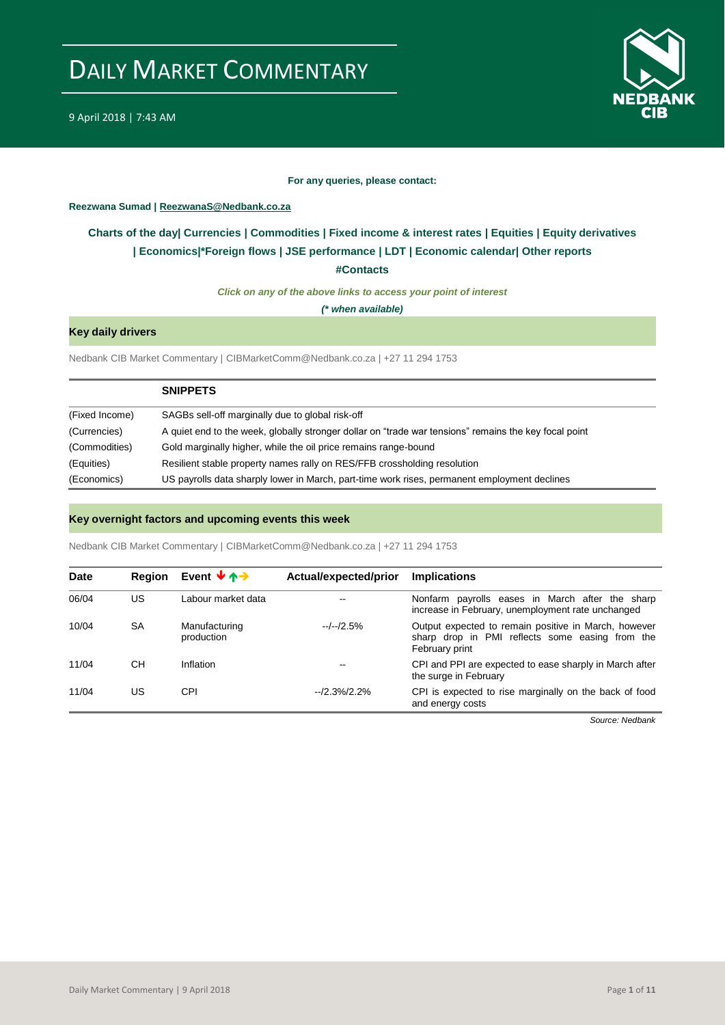

#### **For any queries, please contact:**

#### <span id="page-0-0"></span>**Reezwana Sumad | ReezwanaS@Nedbank.co.za**

### **Charts of the day| [Currencies](#page-2-0) [| Commodities](#page-3-0) | [Fixed income & interest rates](#page-1-0) | [Equities](#page-4-0) | Equity derivatives | [Economics|\\*](#page-7-0)Foreign flows [| JSE performance](#page-4-1) | [LDT](#page-5-0) | [Economic calendar|](#page-8-0) Other reports**

**[#Contacts](#page-9-0)**

*Click on any of the above links to access your point of interest*

*(\* when available)*

#### **Key daily drivers**

Nedbank CIB Market Commentary | CIBMarketComm@Nedbank.co.za | +27 11 294 1753

|                | <b>SNIPPETS</b>                                                                                       |
|----------------|-------------------------------------------------------------------------------------------------------|
| (Fixed Income) | SAGBs sell-off marginally due to global risk-off                                                      |
| (Currencies)   | A quiet end to the week, globally stronger dollar on "trade war tensions" remains the key focal point |
| (Commodities)  | Gold marginally higher, while the oil price remains range-bound                                       |
| (Equities)     | Resilient stable property names rally on RES/FFB crossholding resolution                              |
| (Economics)    | US payrolls data sharply lower in March, part-time work rises, permanent employment declines          |

#### **Key overnight factors and upcoming events this week**

Nedbank CIB Market Commentary | CIBMarketComm@Nedbank.co.za | +27 11 294 1753

| Date  | Region | Event $\forall \land \rightarrow$ | Actual/expected/prior | <b>Implications</b>                                                                                                       |
|-------|--------|-----------------------------------|-----------------------|---------------------------------------------------------------------------------------------------------------------------|
| 06/04 | US     | Labour market data                | $\sim$ $\sim$         | Nonfarm payrolls eases in March after the sharp<br>increase in February, unemployment rate unchanged                      |
| 10/04 | SA     | Manufacturing<br>production       | $-/-/2.5%$            | Output expected to remain positive in March, however<br>sharp drop in PMI reflects some easing from the<br>February print |
| 11/04 | CН     | Inflation                         | $-$                   | CPI and PPI are expected to ease sharply in March after<br>the surge in February                                          |
| 11/04 | US     | CPI                               | $-2.3%2.2%$           | CPI is expected to rise marginally on the back of food<br>and energy costs                                                |

*Source: Nedbank*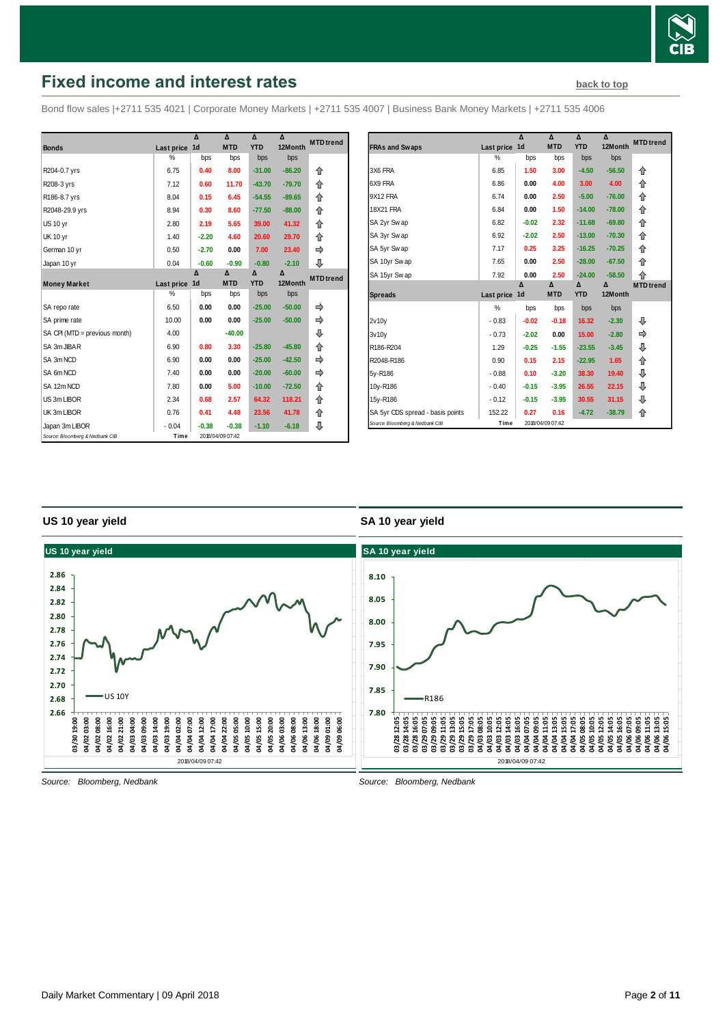

# <span id="page-1-0"></span>**Fixed income and interest rates [back to top](#page-0-0) back to top**

Bond flow sales |+2711 535 4021 | Corporate Money Markets | +2711 535 4007 | Business Bank Money Markets | +2711 535 4006

|                                 |               | Δ              | Δ                | Δ          | Δ        | <b>MTD</b> trend |
|---------------------------------|---------------|----------------|------------------|------------|----------|------------------|
| <b>Bonds</b>                    | Last price    | 1 <sub>d</sub> | <b>MTD</b>       | <b>YTD</b> | 12Month  |                  |
|                                 | %             | bps            | bps              | bps        | bps      |                  |
| R204-0.7 yrs                    | 6.75          | 0.40           | 8.00             | $-31.00$   | $-86.20$ | ⇑                |
| R208-3 yrs                      | 7.12          | 0.60           | 11.70            | $-43.70$   | $-79.70$ | 合                |
| R186-8.7 yrs                    | 8.04          | 0.15           | 6.45             | $-54.55$   | $-89.65$ | 合                |
| R2048-29.9 yrs                  | 8.94          | 0.30           | 8.60             | $-77.50$   | $-88.00$ | ⇑                |
| <b>US 10 yr</b>                 | 2.80          | 2.19           | 5.65             | 39.00      | 41.32    | 合                |
| <b>UK 10 yr</b>                 | 1.40          | $-2.20$        | 4.60             | 20.60      | 29.70    | 企                |
| German 10 yr                    | 0.50          | $-2.70$        | 0.00             | 7.00       | 23.40    | ⇛                |
| Japan 10 yr                     | 0.04          | $-0.60$        | $-0.90$          | $-0.80$    | $-2.10$  | ⊕                |
|                                 |               | Δ              | Δ                | Δ          | Δ        | <b>MTD</b> trend |
| <b>Money Market</b>             | Last price    | 1 <sub>d</sub> | <b>MTD</b>       | <b>YTD</b> | 12Month  |                  |
|                                 | $\frac{0}{0}$ | bps            | bps              | bps        | bps      |                  |
| SA repo rate                    | 6.50          | 0.00           | 0.00             | $-25.00$   | $-50.00$ |                  |
| SA prime rate                   | 10.00         | 0.00           | 0.00             | $-25.00$   | $-50.00$ | ⇛                |
| SA CPI (MTD = previous month)   | 4.00          |                | $-40.00$         |            |          | ⊕                |
| SA 3m JIBAR                     | 6.90          | 0.80           | 3.30             | $-25.80$   | $-45.80$ | 企                |
| SA 3m NCD                       | 6.90          | 0.00           | 0.00             | $-25.00$   | $-42.50$ |                  |
| SA 6m NCD                       | 7.40          | 0.00           | 0.00             | $-20.00$   | $-60.00$ |                  |
| SA 12m NCD                      | 7.80          | 0.00           | 5.00             | $-10.00$   | $-72.50$ | 企                |
| US 3m LIBOR                     | 2.34          | 0.68           | 2.57             | 64.32      | 118.21   | ⇑                |
| UK 3m LIBOR                     | 0.76          | 0.41           | 4.48             | 23.56      | 41.78    | ⇑                |
| Japan 3m LIBOR                  | $-0.04$       | $-0.38$        | $-0.38$          | $-1.10$    | $-6.18$  | ⇩                |
| Source: Bloomberg & Nedbank CIB | Time          |                | 2018/04/09 07:42 |            |          |                  |

|                                  |            | Δ              | Δ          | Δ          | Δ        | <b>MTD</b> trend |
|----------------------------------|------------|----------------|------------|------------|----------|------------------|
| <b>FRAs and Swaps</b>            | Last price | 1 <sub>d</sub> | <b>MTD</b> | <b>YTD</b> | 12Month  |                  |
|                                  | $\%$       | bps            | bps        | bps        | bps      |                  |
| 3X6 FRA                          | 6.85       | 1.50           | 3.00       | $-4.50$    | $-56.50$ | ⇑                |
| 6X9 FRA                          | 6.86       | 0.00           | 4.00       | 3.00       | 4.00     | ⇑                |
| 9X12 FRA                         | 6.74       | 0.00           | 2.50       | $-5.00$    | $-76.00$ | ⇑                |
| 18X21 FRA                        | 6.84       | 0.00           | 1.50       | $-14.00$   | $-78.00$ | 合                |
| SA 2yr Swap                      | 6.82       | $-0.02$        | 2.32       | $-11.68$   | $-69.80$ | 仐                |
| SA 3yr Swap                      | 6.92       | $-2.02$        | 2.50       | $-13.00$   | $-70.30$ | ⇑                |
| SA 5yr Swap                      | 7.17       | 0.25           | 3.25       | $-16.25$   | $-70.25$ | 企                |
| SA 10yr Swap                     | 7.65       | 0.00           | 2.50       | $-28.00$   | $-67.50$ | ⇑                |
| SA 15yr Swap                     | 7.92       | 0.00           | 2.50       | $-24.00$   | $-58.50$ | 企                |
|                                  |            | Δ              | Δ          | Δ          | Λ        | <b>MTD</b> trend |
| <b>Spreads</b>                   | Last price | 1 <sub>d</sub> | <b>MTD</b> | <b>YTD</b> | 12Month  |                  |
|                                  | %          | bps            | bps        | bps        | bps      |                  |
| 2v10v                            | $-0.83$    | $-0.02$        | $-0.18$    | 16.32      | $-2.30$  | ⊕                |
| 3v10v                            | $-0.73$    | $-2.02$        | 0.00       | 15.00      | $-2.80$  | ⇛                |
| R186-R204                        |            |                |            |            | $-3.45$  | ⊕                |
|                                  | 1.29       | $-0.25$        | $-1.55$    | $-23.55$   |          |                  |
| R2048-R186                       | 0.90       | 0.15           | 2.15       | $-22.95$   | 1.65     | ⇑                |
| 5y-R186                          | $-0.88$    | 0.10           | $-3.20$    | 38.30      | 19.40    | ⊕                |
| 10y-R186                         | $-0.40$    | $-0.15$        | $-3.95$    | 26.55      | 22.15    | ⊕                |
| 15y-R186                         | $-0.12$    | $-0.15$        | $-3.95$    | 30.55      | 31.15    | ⊕                |
| SA 5yr CDS spread - basis points | 152.22     | 0.27           | 0.16       | $-4.72$    | $-38.79$ | 合                |

#### **US 10 year yield**

#### **SA 10 year yield**



*Source: Bloomberg, Nedbank*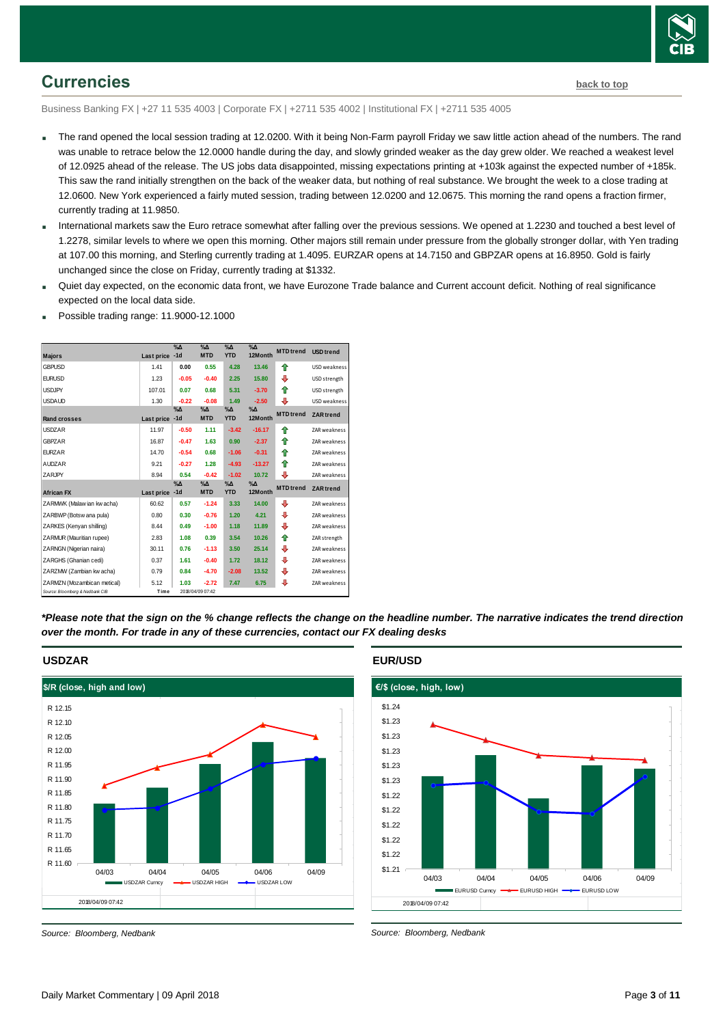

### <span id="page-2-0"></span>**Currencies [back to top](#page-0-0)**

Business Banking FX | +27 11 535 4003 | Corporate FX | +2711 535 4002 | Institutional FX | +2711 535 4005

- The rand opened the local session trading at 12.0200. With it being Non-Farm payroll Friday we saw little action ahead of the numbers. The rand was unable to retrace below the 12.0000 handle during the day, and slowly grinded weaker as the day grew older. We reached a weakest level of 12.0925 ahead of the release. The US jobs data disappointed, missing expectations printing at +103k against the expected number of +185k. This saw the rand initially strengthen on the back of the weaker data, but nothing of real substance. We brought the week to a close trading at 12.0600. New York experienced a fairly muted session, trading between 12.0200 and 12.0675. This morning the rand opens a fraction firmer, currently trading at 11.9850.
- International markets saw the Euro retrace somewhat after falling over the previous sessions. We opened at 1.2230 and touched a best level of 1.2278, similar levels to where we open this morning. Other majors still remain under pressure from the globally stronger dollar, with Yen trading at 107.00 this morning, and Sterling currently trading at 1.4095. EURZAR opens at 14.7150 and GBPZAR opens at 16.8950. Gold is fairly unchanged since the close on Friday, currently trading at \$1332.
- Quiet day expected, on the economic data front, we have Eurozone Trade balance and Current account deficit. Nothing of real significance expected on the local data side.
- Possible trading range: 11.9000-12.1000

| <b>Majors</b>                   | Last price | $\%$ $\Delta$<br>$-1d$ | $\%$ $\Delta$<br><b>MTD</b> | $\% \Delta$<br><b>YTD</b> | $\%$ $\Delta$<br>12Month | <b>MTD</b> trend | <b>USD</b> trend    |
|---------------------------------|------------|------------------------|-----------------------------|---------------------------|--------------------------|------------------|---------------------|
| <b>GBPUSD</b>                   | 1.41       | 0.00                   | 0.55                        | 4.28                      | 13.46                    | ♠                | USD weakness        |
| <b>EURUSD</b>                   | 1.23       | $-0.05$                | $-0.40$                     | 2.25                      | 15.80                    | ⊕                | USD strength        |
| <b>USDJPY</b>                   | 107.01     | 0.07                   | 0.68                        | 5.31                      | $-3.70$                  | ⇑                | USD strength        |
| <b>USDAUD</b>                   | 1.30       | $-0.22$                | $-0.08$                     | 1.49                      | $-2.50$                  | ⊕                | USD weakness        |
| Rand crosses                    | Last price | $\% \Delta$<br>$-1d$   | $\%$ $\Delta$<br><b>MTD</b> | $\% \Delta$<br><b>YTD</b> | $\%$ $\Delta$<br>12Month | <b>MTD</b> trend | <b>ZAR</b> trend    |
| <b>USDZAR</b>                   | 11.97      | $-0.50$                | 1.11                        | $-3.42$                   | $-16.17$                 | ♠                | ZAR weakness        |
| <b>GBPZAR</b>                   | 16.87      | $-0.47$                | 1.63                        | 0.90                      | $-2.37$                  | ♠                | ZAR weakness        |
| <b>EURZAR</b>                   | 14.70      | $-0.54$                | 0.68                        | $-1.06$                   | $-0.31$                  | ♠                | <b>ZAR</b> weakness |
| <b>AUDZAR</b>                   | 9.21       | $-0.27$                | 1.28                        | $-4.93$                   | $-13.27$                 | ↟                | ZAR weakness        |
| ZARJPY                          | 8.94       | 0.54                   | $-0.42$                     | $-1.02$                   | 10.72                    | ⊕                | ZAR weakness        |
| <b>African FX</b>               | Last price | $\%$ $\Delta$<br>$-1d$ | $\%$ $\Delta$<br><b>MTD</b> | $\% \Delta$<br><b>YTD</b> | $\%$ $\Delta$<br>12Month | <b>MTD</b> trend | <b>ZAR</b> trend    |
| ZARMWK (Malaw ian kw acha)      | 60.62      | 0.57                   | $-1.24$                     | 3.33                      | 14.00                    | ⊕                | ZAR weakness        |
| ZARBWP (Botsw ana pula)         | 0.80       | 0.30                   | $-0.76$                     | 1.20                      | 4.21                     | ⊕                | ZAR weakness        |
| ZARKES (Kenvan shilling)        | 8.44       | 0.49                   | $-1.00$                     | 1.18                      | 11.89                    | ⇩                | <b>ZAR</b> weakness |
| ZARMUR (Mauritian rupee)        | 2.83       | 1.08                   | 0.39                        | 3.54                      | 10.26                    | ♠                | ZAR strength        |
| ZARNGN (Nigerian naira)         | 30.11      | 0.76                   | $-1.13$                     | 3.50                      | 25.14                    | ⊕                | ZAR weakness        |
| ZARGHS (Ghanian cedi)           | 0.37       | 1.61                   | $-0.40$                     | 1.72                      | 18.12                    | ⊕                | ZAR weakness        |
| ZARZMW (Zambian kw acha)        | 0.79       | 0.84                   | $-4.70$                     | $-2.08$                   | 13.52                    | ₽                | ZAR weakness        |
| ZARMZN (Mozambican metical)     | 5.12       | 1.03                   | $-2.72$                     | 7.47                      | 6.75                     | ⊕                | ZAR weakness        |
| Source: Bloomberg & Nedbank CIB | Time       |                        | 2018/04/09 07:42            |                           |                          |                  |                     |

*\*Please note that the sign on the % change reflects the change on the headline number. The narrative indicates the trend direction over the month. For trade in any of these currencies, contact our FX dealing desks*



#### **USDZAR**

**EUR/USD**



*Source: Bloomberg, Nedbank*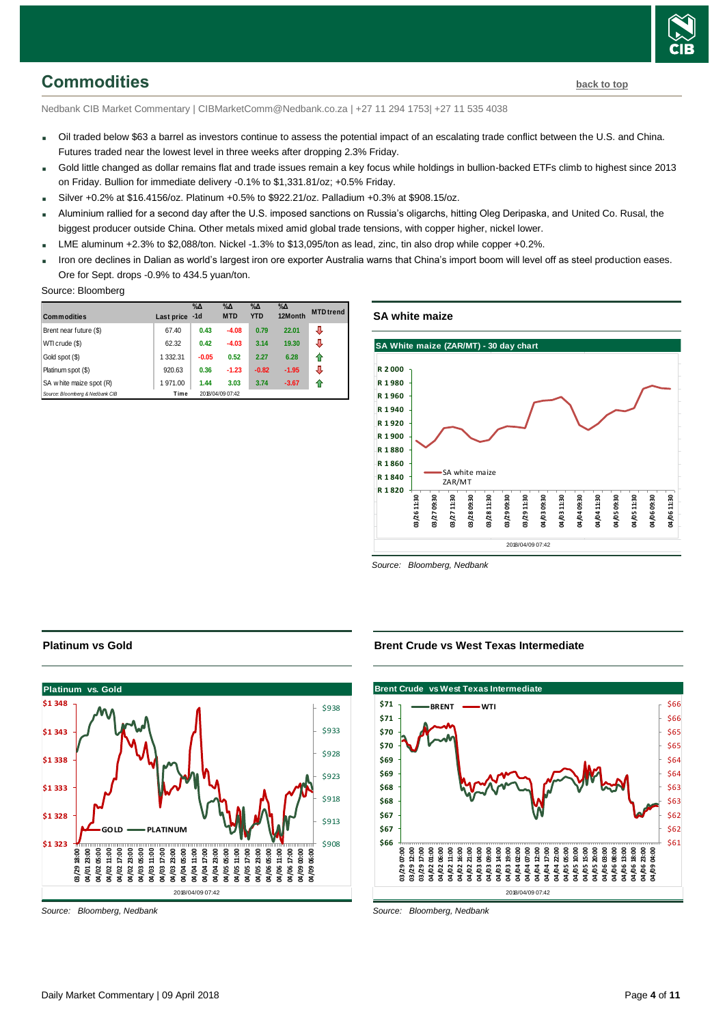

### <span id="page-3-0"></span>**Commodities [back to top](#page-0-0)**

Nedbank CIB Market Commentary | CIBMarketComm@Nedbank.co.za | +27 11 294 1753| +27 11 535 4038

- Oil traded below \$63 a barrel as investors continue to assess the potential impact of an escalating trade conflict between the U.S. and China. Futures traded near the lowest level in three weeks after dropping 2.3% Friday.
- Gold little changed as dollar remains flat and trade issues remain a key focus while holdings in bullion-backed ETFs climb to highest since 2013 on Friday. Bullion for immediate delivery -0.1% to \$1,331.81/oz; +0.5% Friday.
- $Silver +0.2%$  at \$16.4156/oz. Platinum +0.5% to \$922.21/oz. Palladium +0.3% at \$908.15/oz.
- Aluminium rallied for a second day after the U.S. imposed sanctions on Russia's oligarchs, hitting Oleg Deripaska, and United Co. Rusal, the biggest producer outside China. Other metals mixed amid global trade tensions, with copper higher, nickel lower.
- LME aluminum +2.3% to \$2,088/ton. Nickel -1.3% to \$13,095/ton as lead, zinc, tin also drop while copper +0.2%.
- Iron ore declines in Dalian as world's largest iron ore exporter Australia warns that China's import boom will level off as steel production eases. Ore for Sept. drops -0.9% to 434.5 yuan/ton.

#### Source: Bloomberg

| <b>Commodities</b>              | Last price | $\%$ $\Delta$<br>$-1d$ | $\%$ $\Delta$<br><b>MTD</b> | $\%$ $\Delta$<br><b>YTD</b> | $\%$ $\Delta$<br>12Month | <b>MTD</b> trend |
|---------------------------------|------------|------------------------|-----------------------------|-----------------------------|--------------------------|------------------|
| Brent near future (\$)          | 67.40      | 0.43                   | $-4.08$                     | 0.79                        | 22.01                    | ⊕                |
| WTI crude (\$)                  | 62.32      | 0.42                   | $-4.03$                     | 3.14                        | 19.30                    | ⇩                |
| Gold spot (\$)                  | 1 332.31   | $-0.05$                | 0.52                        | 2.27                        | 6.28                     | 1                |
| Platinum spot (\$)              | 920.63     | 0.36                   | $-1.23$                     | $-0.82$                     | $-1.95$                  | ⇩                |
| SA w hite maize spot (R)        | 1971.00    | 1.44                   | 3.03                        | 3.74                        | $-3.67$                  |                  |
| Source: Bloomberg & Nedbank CIB | Time       |                        | 2018/04/09 07:42            |                             |                          |                  |

#### **SA white maize**



*Source: Bloomberg, Nedbank*

#### **Brent Crude vs West Texas Intermediate**



*Source: Bloomberg, Nedbank*

#### **Platinum vs Gold**

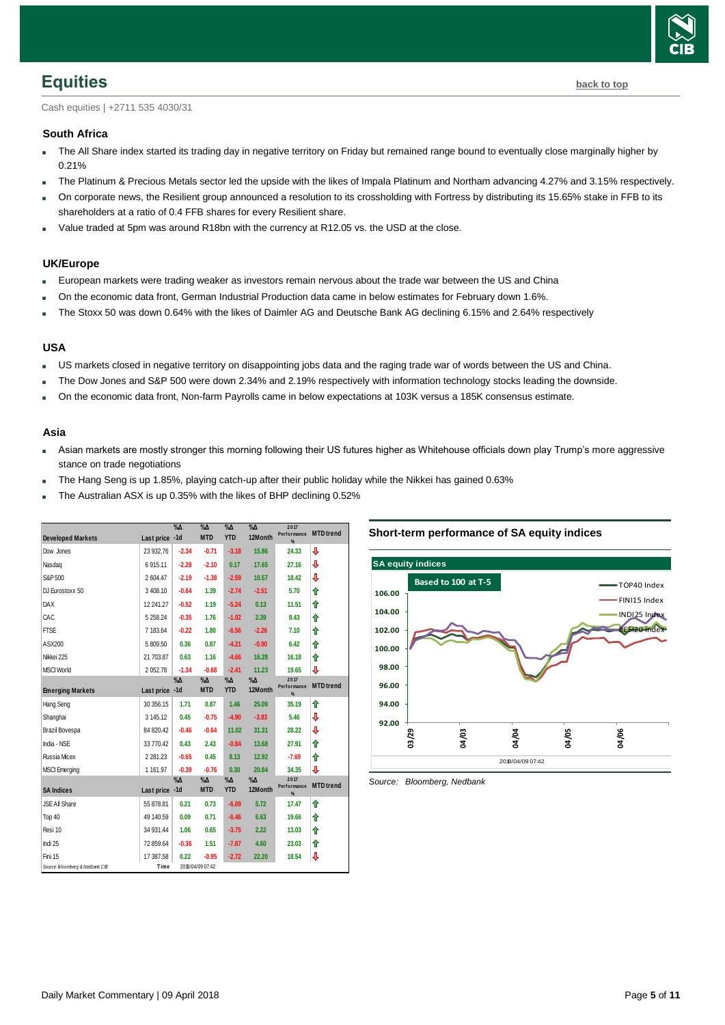

<span id="page-4-0"></span>Cash equities | +2711 535 4030/31

#### **South Africa**

- The All Share index started its trading day in negative territory on Friday but remained range bound to eventually close marginally higher by 0.21%
- The Platinum & Precious Metals sector led the upside with the likes of Impala Platinum and Northam advancing 4.27% and 3.15% respectively.
- On corporate news, the Resilient group announced a resolution to its crossholding with Fortress by distributing its 15.65% stake in FFB to its shareholders at a ratio of 0.4 FFB shares for every Resilient share.
- Value traded at 5pm was around R18bn with the currency at R12.05 vs. the USD at the close.

#### **UK/Europe**

- European markets were trading weaker as investors remain nervous about the trade war between the US and China
- On the economic data front, German Industrial Production data came in below estimates for February down 1.6%.
- The Stoxx 50 was down 0.64% with the likes of Daimler AG and Deutsche Bank AG declining 6.15% and 2.64% respectively

#### **USA**

- US markets closed in negative territory on disappointing jobs data and the raging trade war of words between the US and China.
- The Dow Jones and S&P 500 were down 2.34% and 2.19% respectively with information technology stocks leading the downside.
- On the economic data front, Non-farm Payrolls came in below expectations at 103K versus a 185K consensus estimate.

#### **Asia**

- Asian markets are mostly stronger this morning following their US futures higher as Whitehouse officials down play Trump's more aggressive stance on trade negotiations
- The Hang Seng is up 1.85%, playing catch-up after their public holiday while the Nikkei has gained 0.63%
- The Australian ASX is up 0.35% with the likes of BHP declining 0.52%

<span id="page-4-1"></span>

| <b>Developed Markets</b>        | Last price -1d | $\%$ $\Delta$          | %Δ<br><b>MTD</b>          | $\% \Delta$<br><b>YTD</b>   | $\% \Delta$<br>12Month | 2017<br>Performance<br>% | <b>MTD</b> trend |
|---------------------------------|----------------|------------------------|---------------------------|-----------------------------|------------------------|--------------------------|------------------|
| Dow Jones                       | 23 932.76      | $-2.34$                | $-0.71$                   | $-3.18$                     | 15.86                  | 24.33                    | ⇩                |
| Nasdaq                          | 6915.11        | $-2.28$                | $-2.10$                   | 0.17                        | 17.65                  | 27.16                    | ⇩                |
| S&P 500                         | 2604.47        | $-2.19$                | $-1.38$                   | $-2.59$                     | 10.57                  | 18.42                    | ⇩                |
| DJ Eurostoxx 50                 | 3408.10        | $-0.64$                | 1.39                      | $-2.74$                     | $-2.51$                | 5.70                     | ⇑                |
| <b>DAX</b>                      | 12 241.27      | $-0.52$                | 1.19                      | $-5.24$                     | 0.13                   | 11.51                    | ↟                |
| CAC                             | 5 2 5 8.24     | $-0.35$                | 1.76                      | $-1.02$                     | 2.39                   | 8.43                     | ⇑                |
| <b>FTSE</b>                     | 7 183.64       | $-0.22$                | 1.80                      | $-6.56$                     | $-2.26$                | 7.10                     | ₳                |
| ASX200                          | 5809.50        | 0.36                   | 0.87                      | $-4.21$                     | $-0.90$                | 6.42                     | ↟                |
| Nikkei 225                      | 21 703.87      | 0.63                   | 1.16                      | $-4.66$                     | 16.28                  | 16.18                    | ⇑                |
| <b>MSCI World</b>               | 2052.78        | $-1.34$                | $-0.68$                   | $-2.41$                     | 11.23                  | 19.65                    | ⇩                |
| <b>Emerging Markets</b>         | Last price -1d | $\%$ $\Delta$          | $\% \Delta$<br><b>MTD</b> | $\% \Delta$<br><b>YTD</b>   | $\% \Delta$<br>12Month | 2017<br>Performance<br>% | <b>MTD</b> trend |
| Hang Seng                       | 30 356.15      | 1.71                   | 0.87                      | 1.46                        | 25.09                  | 35.19                    | ↟                |
| Shanghai                        | 3 145.12       | 0.45                   | $-0.75$                   | $-4.90$                     | $-3.83$                | 5.46                     | ⇩                |
| Brazil Bovespa                  | 84 820.42      | $-0.46$                | $-0.64$                   | 11.02                       | 31.31                  | 28.22                    | ⇩                |
| India - NSE                     | 33 770.42      | 0.43                   | 2.43                      | $-0.84$                     | 13.68                  | 27.91                    | ↟                |
| Russia Micex                    | 2 2 8 1 . 2 3  | $-0.65$                | 0.45                      | 8.13                        | 12.92                  | $-7.69$                  | ↟                |
| <b>MSCI</b> Emerging            | 1 1 6 1 .9 7   | $-0.39$                | $-0.76$                   | 0.30                        | 20.84                  | 34.35                    | ⇩                |
| <b>SA Indices</b>               | Last price     | $\%$ $\Delta$<br>$-1d$ | %Δ<br><b>MTD</b>          | $\%$ $\Delta$<br><b>YTD</b> | $\% \Delta$<br>12Month | 2017<br>Performance      | <b>MTD</b> trend |
| JSE All Share                   | 55 878.81      | 0.21                   | 0.73                      | $-6.09$                     | 5.72                   | $\frac{9}{4}$<br>17.47   | ↟                |
| Top 40                          | 49 140.59      | 0.09                   | 0.71                      | $-6.46$                     | 6.63                   | 19.66                    | ♠                |
| Resi 10                         | 34 931.44      | 1.06                   | 0.65                      | $-3.75$                     | 2.22                   | 13.03                    | ↟                |
| Indi 25                         | 72 859.64      | $-0.36$                | 1.51                      | $-7.87$                     | 4.60                   | 23.03                    | ⇑                |
| Fini 15                         | 17 387.58      | 0.22                   | $-0.95$                   | $-2.72$                     | 22.20                  | 18.54                    | ⇩                |
| Source: Bloomberg & Nedbank CIB | Time           |                        | 2018/04/09 07:42          |                             |                        |                          |                  |

#### **Short-term performance of SA equity indices**

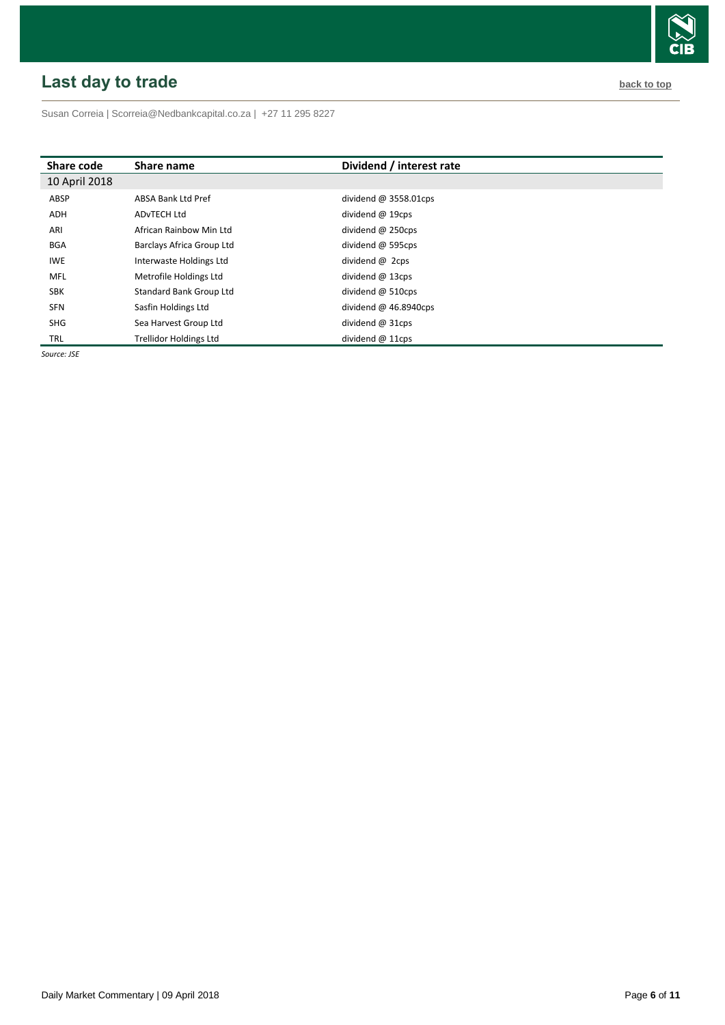# <span id="page-5-0"></span>**Last day to trade back to the contract of the contract of the contract of the contract of the contract of the contract of the contract of the contract of the contract of the contract of the contract of the contract of t**

Susan Correia [| Scorreia@Nedbankcapital.co.za](mailto:Scorreia@Nedbankcapital.co.za) | +27 11 295 8227

| Share code    | Share name                     | Dividend / interest rate |
|---------------|--------------------------------|--------------------------|
| 10 April 2018 |                                |                          |
| ABSP          | <b>ABSA Bank Ltd Pref</b>      | dividend $@3558.01$ cps  |
| <b>ADH</b>    | AD <sub>v</sub> TECH Ltd       | dividend $@$ 19cps       |
| ARI           | African Rainbow Min Ltd        | dividend $@$ 250cps      |
| <b>BGA</b>    | Barclays Africa Group Ltd      | dividend @ 595cps        |
| <b>IWE</b>    | Interwaste Holdings Ltd        | dividend $\omega$ 2cps   |
| MFL           | Metrofile Holdings Ltd         | dividend $@$ 13cps       |
| <b>SBK</b>    | <b>Standard Bank Group Ltd</b> | dividend $@$ 510cps      |
| <b>SFN</b>    | Sasfin Holdings Ltd            | dividend $@$ 46.8940cps  |
| <b>SHG</b>    | Sea Harvest Group Ltd          | dividend $@31cps$        |
| TRL           | <b>Trellidor Holdings Ltd</b>  | dividend $@$ 11cps       |

*Source: JSE*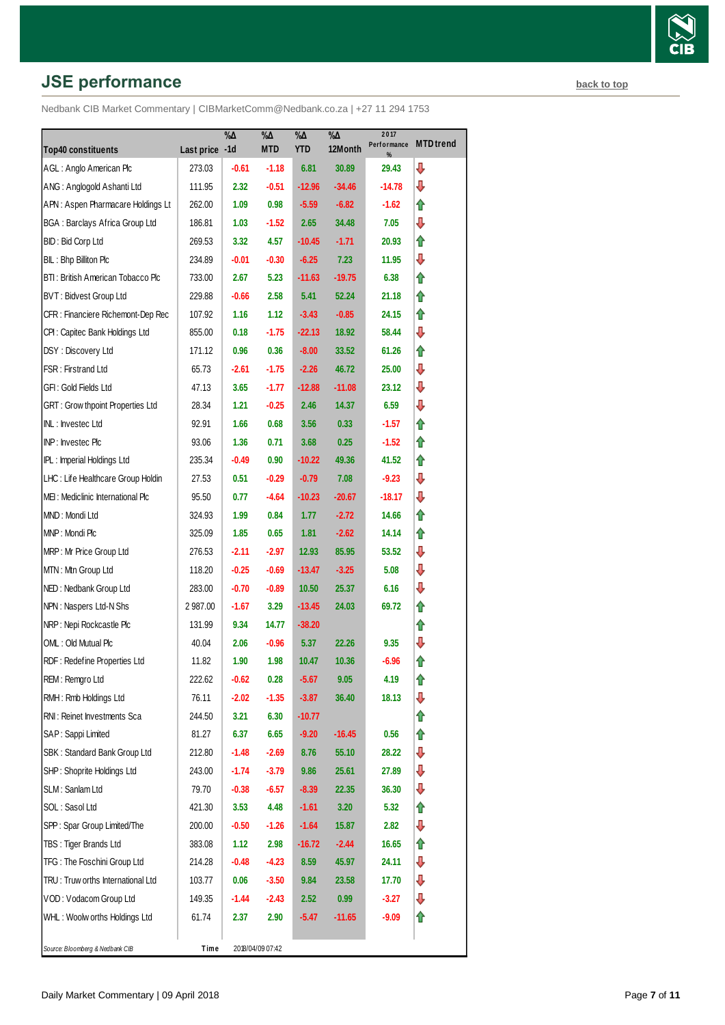# **JSE performance [back to top](#page-0-0) back to top**

|                                         |            | $\% \Delta$ | %Д               | $\% \Delta$ | $\sqrt[9]{6\Delta}$ | 2017<br>Performance | <b>MTD</b> trend |
|-----------------------------------------|------------|-------------|------------------|-------------|---------------------|---------------------|------------------|
| <b>Top40 constituents</b>               | Last price | $-1d$       | <b>MTD</b>       | <b>YTD</b>  | 12Month             | %                   |                  |
| AGL: Anglo American Plc                 | 273.03     | $-0.61$     | $-1.18$          | 6.81        | 30.89               | 29.43               | ⇩                |
| ANG: Anglogold Ashanti Ltd              | 111.95     | 2.32        | $-0.51$          | $-12.96$    | $-34.46$            | -14.78              | ⇩                |
| APN: Aspen Pharmacare Holdings Lt       | 262.00     | 1.09        | 0.98             | $-5.59$     | $-6.82$             | $-1.62$             | ⇑                |
| <b>BGA: Barclays Africa Group Ltd</b>   | 186.81     | 1.03        | $-1.52$          | 2.65        | 34.48               | 7.05                | ⊕                |
| BID: Bid Corp Ltd                       | 269.53     | 3.32        | 4.57             | $-10.45$    | $-1.71$             | 20.93               | ⇑                |
| BIL: Bhp Billiton Plc                   | 234.89     | -0.01       | $-0.30$          | $-6.25$     | 7.23                | 11.95               | ⊕                |
| BTI: British American Tobacco Plc       | 733.00     | 2.67        | 5.23             | $-11.63$    | $-19.75$            | 6.38                | ⇑                |
| BVT: Bidvest Group Ltd                  | 229.88     | $-0.66$     | 2.58             | 5.41        | 52.24               | 21.18               | ⇑                |
| CFR : Financiere Richemont-Dep Rec      | 107.92     | 1.16        | 1.12             | $-3.43$     | $-0.85$             | 24.15               | ⇑                |
| CPI: Capitec Bank Holdings Ltd          | 855.00     | 0.18        | $-1.75$          | $-22.13$    | 18.92               | 58.44               | ⊕                |
| DSY: Discovery Ltd                      | 171.12     | 0.96        | 0.36             | $-8.00$     | 33.52               | 61.26               | ⇑                |
| FSR: Firstrand Ltd                      | 65.73      | -2.61       | $-1.75$          | $-2.26$     | 46.72               | 25.00               | ⊕                |
| GFI: Gold Fields Ltd                    | 47.13      | 3.65        | $-1.77$          | $-12.88$    | $-11.08$            | 23.12               | ⊕                |
| <b>GRT: Grow thpoint Properties Ltd</b> | 28.34      | 1.21        | $-0.25$          | 2.46        | 14.37               | 6.59                | ⊕                |
| INL: Investec Ltd                       | 92.91      | 1.66        | 0.68             | 3.56        | 0.33                | $-1.57$             | ⇑                |
| INP: Investec Plc                       | 93.06      | 1.36        | 0.71             | 3.68        | 0.25                | $-1.52$             | ⇑                |
| <b>IPL:</b> Imperial Holdings Ltd       | 235.34     | $-0.49$     | 0.90             | $-10.22$    | 49.36               | 41.52               | ⇑                |
| LHC: Life Healthcare Group Holdin       | 27.53      | 0.51        | $-0.29$          | $-0.79$     | 7.08                | $-9.23$             | ⊕                |
| MEI: Mediclinic International Plc       | 95.50      | 0.77        | $-4.64$          | $-10.23$    | $-20.67$            | $-18.17$            | ⇩                |
| MND: Mondi Ltd                          | 324.93     | 1.99        | 0.84             | 1.77        | $-2.72$             | 14.66               | ⇑                |
| MNP: Mondi Plc                          | 325.09     | 1.85        | 0.65             | 1.81        | $-2.62$             | 14.14               | ⇑                |
| MRP: Mr Price Group Ltd                 | 276.53     | $-2.11$     | $-2.97$          | 12.93       | 85.95               | 53.52               | ⊕                |
| MTN: Mtn Group Ltd                      | 118.20     | $-0.25$     | $-0.69$          | $-13.47$    | $-3.25$             | 5.08                | ⊕                |
| NED: Nedbank Group Ltd                  | 283.00     | $-0.70$     | $-0.89$          | 10.50       | 25.37               | 6.16                | ⇩                |
| NPN: Naspers Ltd-N Shs                  | 2 987.00   | $-1.67$     | 3.29             | $-13.45$    | 24.03               | 69.72               | ⇑                |
| NRP: Nepi Rockcastle Plc                | 131.99     | 9.34        | 14.77            | $-38.20$    |                     |                     | ⇑                |
| OML: Old Mutual Plc                     | 40.04      | 2.06        | $-0.96$          | 5.37        | 22.26               | 9.35                | ⇩                |
| RDF: Redefine Properties Ltd            | 11.82      | 1.90        | 1.98             | 10.47       | 10.36               | $-6.96$             | ⇑                |
| REM: Remgro Ltd                         | 222.62     | $-0.62$     | 0.28             | $-5.67$     | 9.05                | 4.19                | ⇑                |
| RMH: Rmb Holdings Ltd                   | 76.11      | $-2.02$     | $-1.35$          | $-3.87$     | 36.40               | 18.13               | ⊕                |
| RNI: Reinet Investments Sca             | 244.50     | 3.21        | 6.30             | $-10.77$    |                     |                     | ⇑                |
| SAP: Sappi Limited                      | 81.27      | 6.37        | 6.65             | $-9.20$     | -16.45              | 0.56                | ⇑                |
| SBK: Standard Bank Group Ltd            | 212.80     | $-1.48$     | $-2.69$          | 8.76        | 55.10               | 28.22               | ₽                |
| SHP: Shoprite Holdings Ltd              | 243.00     | $-1.74$     | $-3.79$          | 9.86        | 25.61               | 27.89               | ⊕                |
| SLM: Sanlam Ltd                         | 79.70      | $-0.38$     | $-6.57$          | $-8.39$     | 22.35               | 36.30               | ⊕                |
| SOL: Sasol Ltd                          | 421.30     | 3.53        | 4.48             | $-1.61$     | 3.20                | 5.32                | ⇑                |
| SPP: Spar Group Limited/The             | 200.00     | $-0.50$     | $-1.26$          | $-1.64$     | 15.87               | 2.82                | ⊕                |
| TBS: Tiger Brands Ltd                   | 383.08     | 1.12        | 2.98             | $-16.72$    | $-2.44$             | 16.65               | ⇮                |
| TFG: The Foschini Group Ltd             | 214.28     | -0.48       | $-4.23$          | 8.59        | 45.97               | 24.11               | ⊕                |
| TRU: Truw orths International Ltd       | 103.77     | 0.06        | $-3.50$          | 9.84        | 23.58               | 17.70               | ⊕                |
| VOD: Vodacom Group Ltd                  | 149.35     | $-1.44$     | $-2.43$          | 2.52        | 0.99                | $-3.27$             | ⊕                |
| WHL: Woolw orths Holdings Ltd           | 61.74      | 2.37        | 2.90             | -5.47       | $-11.65$            | -9.09               | ⇮                |
|                                         |            |             |                  |             |                     |                     |                  |
| Source: Bloomberg & Nedbank CIB         | Time       |             | 2018/04/09 07:42 |             |                     |                     |                  |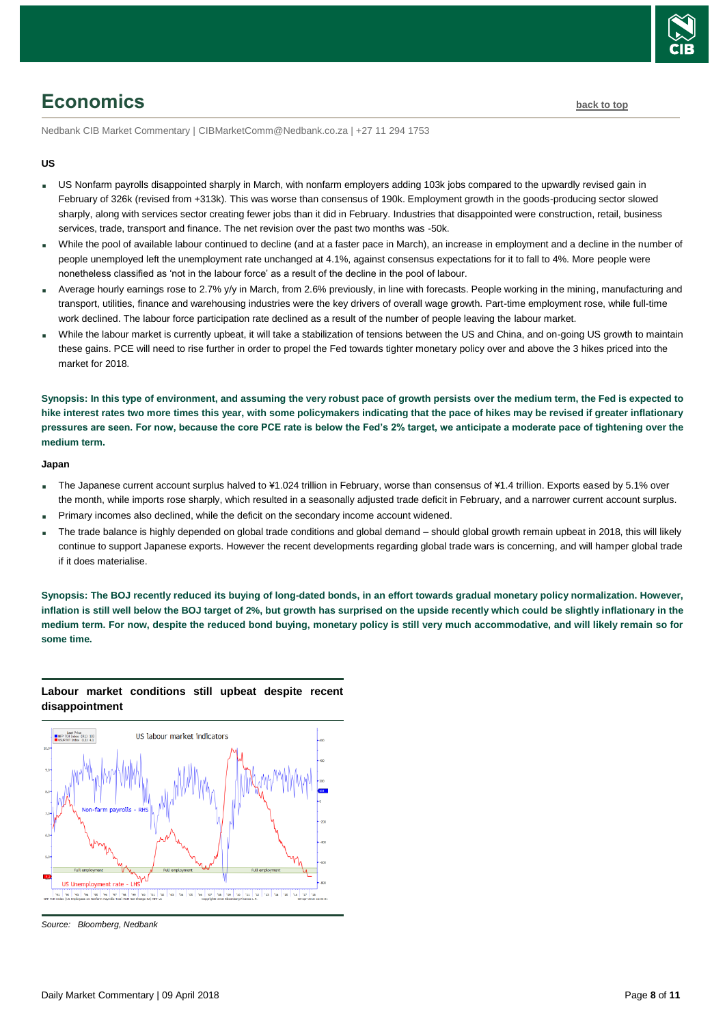

# <span id="page-7-0"></span>**Economics [back to top](#page-0-0)**

Nedbank CIB Market Commentary | CIBMarketComm@Nedbank.co.za | +27 11 294 1753

#### **US**

- US Nonfarm payrolls disappointed sharply in March, with nonfarm employers adding 103k jobs compared to the upwardly revised gain in February of 326k (revised from +313k). This was worse than consensus of 190k. Employment growth in the goods-producing sector slowed sharply, along with services sector creating fewer jobs than it did in February. Industries that disappointed were construction, retail, business services, trade, transport and finance. The net revision over the past two months was -50k.
- While the pool of available labour continued to decline (and at a faster pace in March), an increase in employment and a decline in the number of people unemployed left the unemployment rate unchanged at 4.1%, against consensus expectations for it to fall to 4%. More people were nonetheless classified as 'not in the labour force' as a result of the decline in the pool of labour.
- Average hourly earnings rose to 2.7% y/y in March, from 2.6% previously, in line with forecasts. People working in the mining, manufacturing and transport, utilities, finance and warehousing industries were the key drivers of overall wage growth. Part-time employment rose, while full-time work declined. The labour force participation rate declined as a result of the number of people leaving the labour market.
- While the labour market is currently upbeat, it will take a stabilization of tensions between the US and China, and on-going US growth to maintain these gains. PCE will need to rise further in order to propel the Fed towards tighter monetary policy over and above the 3 hikes priced into the market for 2018.

**Synopsis: In this type of environment, and assuming the very robust pace of growth persists over the medium term, the Fed is expected to hike interest rates two more times this year, with some policymakers indicating that the pace of hikes may be revised if greater inflationary pressures are seen. For now, because the core PCE rate is below the Fed's 2% target, we anticipate a moderate pace of tightening over the medium term.**

#### **Japan**

- The Japanese current account surplus halved to ¥1.024 trillion in February, worse than consensus of ¥1.4 trillion. Exports eased by 5.1% over the month, while imports rose sharply, which resulted in a seasonally adjusted trade deficit in February, and a narrower current account surplus.
- Primary incomes also declined, while the deficit on the secondary income account widened.
- The trade balance is highly depended on global trade conditions and global demand should global growth remain upbeat in 2018, this will likely continue to support Japanese exports. However the recent developments regarding global trade wars is concerning, and will hamper global trade if it does materialise.

**Synopsis: The BOJ recently reduced its buying of long-dated bonds, in an effort towards gradual monetary policy normalization. However, inflation is still well below the BOJ target of 2%, but growth has surprised on the upside recently which could be slightly inflationary in the medium term. For now, despite the reduced bond buying, monetary policy is still very much accommodative, and will likely remain so for some time.**

#### **Labour market conditions still upbeat despite recent disappointment**



*Source: Bloomberg, Nedbank*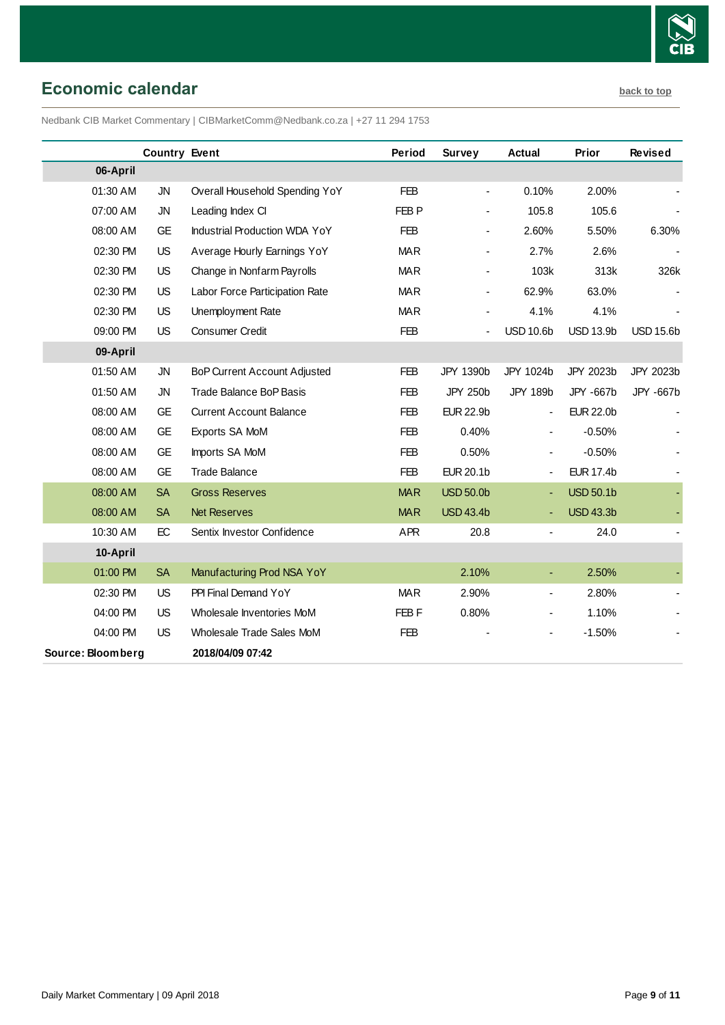

# <span id="page-8-0"></span>**Economic calendar [back to top](#page-0-0)**

Nedbank CIB Market Commentary | CIBMarketComm@Nedbank.co.za | +27 11 294 1753

|                   | <b>Country Event</b> |                                     | Period           | <b>Survey</b>    | Actual                   | Prior            | Revised          |
|-------------------|----------------------|-------------------------------------|------------------|------------------|--------------------------|------------------|------------------|
| 06-April          |                      |                                     |                  |                  |                          |                  |                  |
| 01:30 AM          | <b>JN</b>            | Overall Household Spending YoY      | <b>FEB</b>       |                  | 0.10%                    | 2.00%            |                  |
| 07:00 AM          | <b>JN</b>            | Leading Index CI                    | FEB <sub>P</sub> |                  | 105.8                    | 105.6            |                  |
| 08:00 AM          | <b>GE</b>            | Industrial Production WDA YoY       | <b>FEB</b>       |                  | 2.60%                    | 5.50%            | 6.30%            |
| 02:30 PM          | US                   | Average Hourly Earnings YoY         | <b>MAR</b>       |                  | 2.7%                     | 2.6%             |                  |
| 02:30 PM          | <b>US</b>            | Change in Nonfarm Payrolls          | <b>MAR</b>       |                  | 103k                     | 313k             | 326k             |
| 02:30 PM          | US                   | Labor Force Participation Rate      | <b>MAR</b>       |                  | 62.9%                    | 63.0%            |                  |
| 02:30 PM          | <b>US</b>            | Unemployment Rate                   | <b>MAR</b>       |                  | 4.1%                     | 4.1%             |                  |
| 09:00 PM          | <b>US</b>            | Consumer Credit                     | <b>FEB</b>       |                  | <b>USD 10.6b</b>         | <b>USD 13.9b</b> | <b>USD 15.6b</b> |
| 09-April          |                      |                                     |                  |                  |                          |                  |                  |
| 01:50 AM          | <b>JN</b>            | <b>BoP Current Account Adjusted</b> | <b>FEB</b>       | JPY 1390b        | JPY 1024b                | JPY 2023b        | JPY 2023b        |
| 01:50 AM          | <b>JN</b>            | Trade Balance BoP Basis             | <b>FEB</b>       | <b>JPY 250b</b>  | <b>JPY 189b</b>          | JPY -667b        | JPY -667b        |
| 08:00 AM          | <b>GE</b>            | <b>Current Account Balance</b>      | <b>FEB</b>       | <b>EUR 22.9b</b> | $\overline{\phantom{a}}$ | <b>EUR 22.0b</b> |                  |
| 08:00 AM          | <b>GE</b>            | Exports SA MoM                      | <b>FEB</b>       | 0.40%            | $\blacksquare$           | $-0.50%$         |                  |
| 08:00 AM          | <b>GE</b>            | Imports SA MoM                      | <b>FEB</b>       | 0.50%            | $\blacksquare$           | $-0.50%$         |                  |
| 08:00 AM          | <b>GE</b>            | <b>Trade Balance</b>                | <b>FEB</b>       | <b>EUR 20.1b</b> | $\overline{\phantom{a}}$ | <b>EUR 17.4b</b> |                  |
| 08:00 AM          | <b>SA</b>            | <b>Gross Reserves</b>               | <b>MAR</b>       | <b>USD 50.0b</b> |                          | <b>USD 50.1b</b> |                  |
| 08:00 AM          | <b>SA</b>            | <b>Net Reserves</b>                 | <b>MAR</b>       | <b>USD 43.4b</b> |                          | <b>USD 43.3b</b> |                  |
| 10:30 AM          | EC                   | Sentix Investor Confidence          | <b>APR</b>       | 20.8             | $\overline{\phantom{a}}$ | 24.0             |                  |
| 10-April          |                      |                                     |                  |                  |                          |                  |                  |
| 01:00 PM          | <b>SA</b>            | Manufacturing Prod NSA YoY          |                  | 2.10%            | ٠                        | 2.50%            |                  |
| 02:30 PM          | <b>US</b>            | PPI Final Demand YoY                | <b>MAR</b>       | 2.90%            | $\overline{\phantom{a}}$ | 2.80%            |                  |
| 04:00 PM          | <b>US</b>            | Wholesale Inventories MoM           | FEB F            | 0.80%            |                          | 1.10%            |                  |
| 04:00 PM          | <b>US</b>            | Wholesale Trade Sales MoM           | <b>FEB</b>       |                  | $\blacksquare$           | $-1.50%$         |                  |
| Source: Bloomberg |                      | 2018/04/09 07:42                    |                  |                  |                          |                  |                  |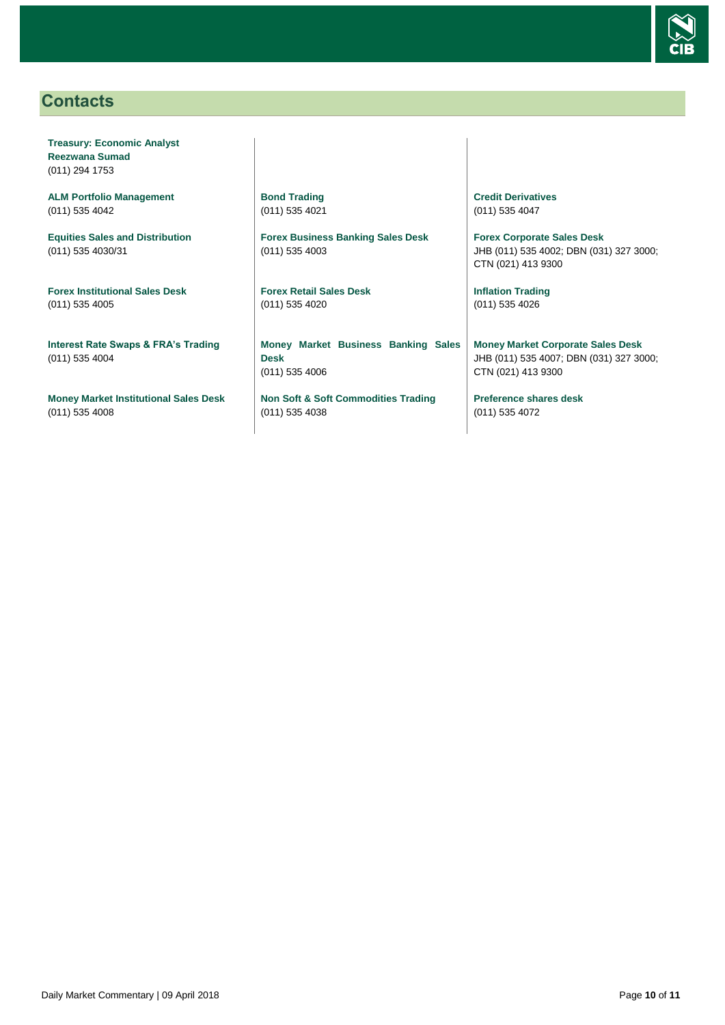

# <span id="page-9-0"></span>**Contacts**

**Treasury: Economic Analyst Reezwana Sumad** (011) 294 1753

**ALM Portfolio Management** (011) 535 4042

**Equities Sales and Distribution** (011) 535 4030/31

**Forex Institutional Sales Desk** (011) 535 4005

**Interest Rate Swaps & FRA's Trading** (011) 535 4004

**Money Market Institutional Sales Desk** (011) 535 4008

**Bond Trading** (011) 535 4021

**Forex Business Banking Sales Desk** (011) 535 4003

**Forex Retail Sales Desk** (011) 535 4020

**Money Market Business Banking Sales Desk** (011) 535 4006

**Non Soft & Soft Commodities Trading** (011) 535 4038

**Credit Derivatives**  (011) 535 4047

**Forex Corporate Sales Desk** JHB (011) 535 4002; DBN (031) 327 3000; CTN (021) 413 9300

**Inflation Trading** (011) 535 4026

**Money Market Corporate Sales Desk** JHB (011) 535 4007; DBN (031) 327 3000; CTN (021) 413 9300

**Preference shares desk** (011) 535 4072